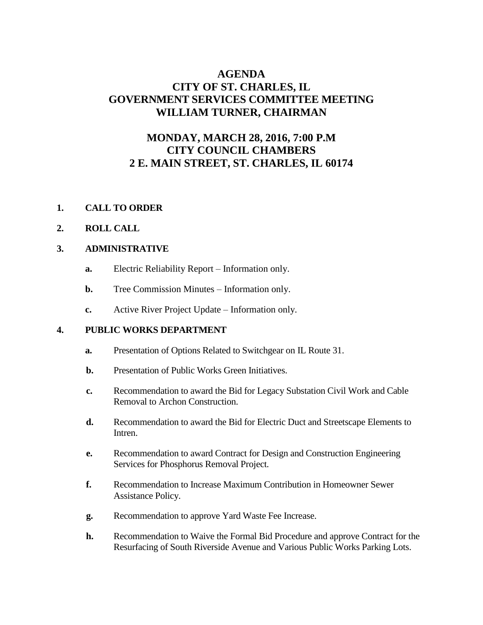# **AGENDA CITY OF ST. CHARLES, IL GOVERNMENT SERVICES COMMITTEE MEETING WILLIAM TURNER, CHAIRMAN**

# **MONDAY, MARCH 28, 2016, 7:00 P.M CITY COUNCIL CHAMBERS 2 E. MAIN STREET, ST. CHARLES, IL 60174**

## **1. CALL TO ORDER**

#### **2. ROLL CALL**

### **3. ADMINISTRATIVE**

- **a.** Electric Reliability Report Information only.
- **b.** Tree Commission Minutes Information only.
- **c.** Active River Project Update Information only.

#### **4. PUBLIC WORKS DEPARTMENT**

- **a.** Presentation of Options Related to Switchgear on IL Route 31.
- **b.** Presentation of Public Works Green Initiatives.
- **c.** Recommendation to award the Bid for Legacy Substation Civil Work and Cable Removal to Archon Construction.
- **d.** Recommendation to award the Bid for Electric Duct and Streetscape Elements to Intren.
- **e.** Recommendation to award Contract for Design and Construction Engineering Services for Phosphorus Removal Project.
- **f.** Recommendation to Increase Maximum Contribution in Homeowner Sewer Assistance Policy.
- **g.** Recommendation to approve Yard Waste Fee Increase.
- **h.** Recommendation to Waive the Formal Bid Procedure and approve Contract for the Resurfacing of South Riverside Avenue and Various Public Works Parking Lots.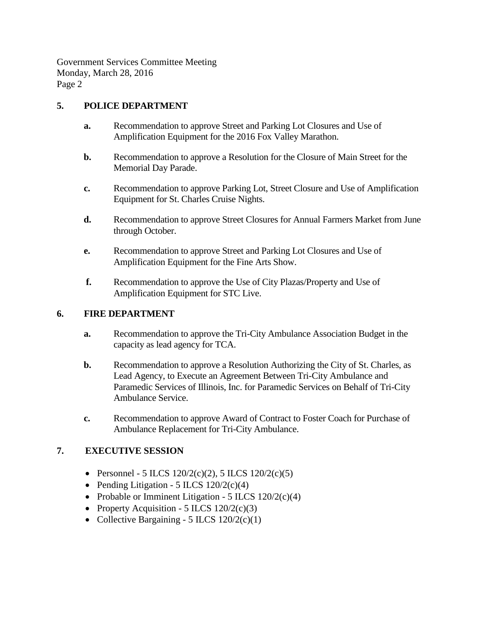Government Services Committee Meeting Monday, March 28, 2016 Page 2

## **5. POLICE DEPARTMENT**

- **a.** Recommendation to approve Street and Parking Lot Closures and Use of Amplification Equipment for the 2016 Fox Valley Marathon.
- **b.** Recommendation to approve a Resolution for the Closure of Main Street for the Memorial Day Parade.
- **c.** Recommendation to approve Parking Lot, Street Closure and Use of Amplification Equipment for St. Charles Cruise Nights.
- **d.** Recommendation to approve Street Closures for Annual Farmers Market from June through October.
- **e.** Recommendation to approve Street and Parking Lot Closures and Use of Amplification Equipment for the Fine Arts Show.
- **f.** Recommendation to approve the Use of City Plazas/Property and Use of Amplification Equipment for STC Live.

#### **6. FIRE DEPARTMENT**

- **a.** Recommendation to approve the Tri-City Ambulance Association Budget in the capacity as lead agency for TCA.
- **b.** Recommendation to approve a Resolution Authorizing the City of St. Charles, as Lead Agency, to Execute an Agreement Between Tri-City Ambulance and Paramedic Services of Illinois, Inc. for Paramedic Services on Behalf of Tri-City Ambulance Service.
- **c.** Recommendation to approve Award of Contract to Foster Coach for Purchase of Ambulance Replacement for Tri-City Ambulance.

# **7. EXECUTIVE SESSION**

- Personnel 5 ILCS  $120/2(c)(2)$ , 5 ILCS  $120/2(c)(5)$
- Pending Litigation 5 ILCS  $120/2(c)(4)$
- Probable or Imminent Litigation 5 ILCS  $120/2(c)(4)$
- Property Acquisition 5 ILCS  $120/2(c)(3)$
- Collective Bargaining 5 ILCS  $120/2(c)(1)$